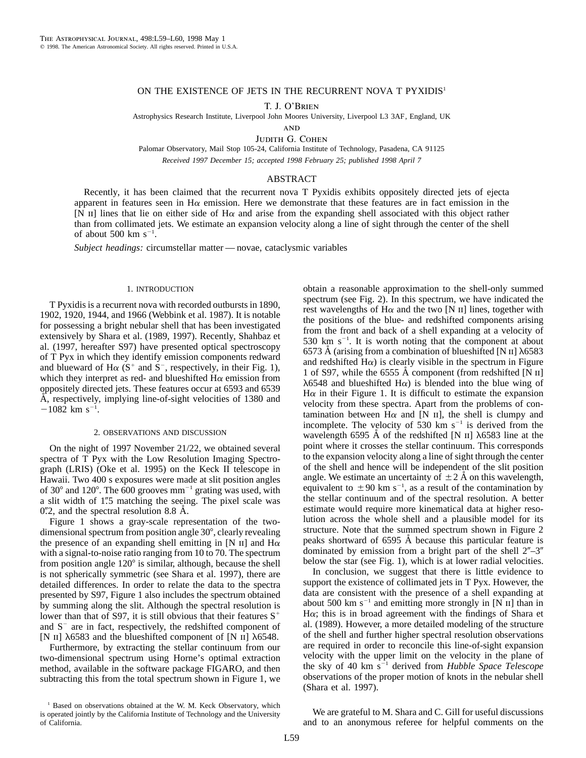## ON THE EXISTENCE OF JETS IN THE RECURRENT NOVA T PYXIDIS<sup>1</sup>

T. J. O'Brien

Astrophysics Research Institute, Liverpool John Moores University, Liverpool L3 3AF, England, UK

**AND** 

JUDITH G. COHEN

Palomar Observatory, Mail Stop 105-24, California Institute of Technology, Pasadena, CA 91125 *Received 1997 December 15; accepted 1998 February 25; published 1998 April 7*

# ABSTRACT

Recently, it has been claimed that the recurrent nova T Pyxidis exhibits oppositely directed jets of ejecta apparent in features seen in  $H\alpha$  emission. Here we demonstrate that these features are in fact emission in the [N  $\text{II}$ ] lines that lie on either side of H $\alpha$  and arise from the expanding shell associated with this object rather than from collimated jets. We estimate an expansion velocity along a line of sight through the center of the shell of about 500  $\rm km\;s^{-1}$ .

*Subject headings:* circumstellar matter — novae, cataclysmic variables

### 1. INTRODUCTION

T Pyxidis is a recurrent nova with recorded outbursts in 1890, 1902, 1920, 1944, and 1966 (Webbink et al. 1987). It is notable for possessing a bright nebular shell that has been investigated extensively by Shara et al. (1989, 1997). Recently, Shahbaz et al. (1997, hereafter S97) have presented optical spectroscopy of T Pyx in which they identify emission components redward and blueward of  $H\alpha$  (S<sup>+</sup> and S<sup>-</sup>, respectively, in their Fig. 1), which they interpret as red- and blueshifted  $H\alpha$  emission from oppositely directed jets. These features occur at 6593 and 6539 Å, respectively, implying line-of-sight velocities of 1380 and  $-1082$  km s<sup>-1</sup>.

### 2. OBSERVATIONS AND DISCUSSION

On the night of 1997 November 21/22, we obtained several spectra of T Pyx with the Low Resolution Imaging Spectrograph (LRIS) (Oke et al. 1995) on the Keck II telescope in Hawaii. Two 400 s exposures were made at slit position angles of  $30^{\circ}$  and  $120^{\circ}$ . The 600 grooves mm<sup>-1</sup> grating was used, with a slit width of 1".5 matching the seeing. The pixel scale was  $0\rlap{.}^{\prime\prime}$  2, and the spectral resolution 8.8 Å.

Figure 1 shows a gray-scale representation of the twodimensional spectrum from position angle  $30^{\circ}$ , clearly revealing the presence of an expanding shell emitting in [N  $\text{II}$ ] and H $\alpha$ with a signal-to-noise ratio ranging from 10 to 70. The spectrum from position angle 120° is similar, although, because the shell is not spherically symmetric (see Shara et al. 1997), there are detailed differences. In order to relate the data to the spectra presented by S97, Figure 1 also includes the spectrum obtained by summing along the slit. Although the spectral resolution is lower than that of S97, it is still obvious that their features  $S^+$ and  $S^-$  are in fact, respectively, the redshifted component of [N II]  $\lambda$ 6583 and the blueshifted component of [N II]  $\lambda$ 6548.

Furthermore, by extracting the stellar continuum from our two-dimensional spectrum using Horne's optimal extraction method, available in the software package FIGARO, and then subtracting this from the total spectrum shown in Figure 1, we obtain a reasonable approximation to the shell-only summed spectrum (see Fig. 2). In this spectrum, we have indicated the rest wavelengths of  $H\alpha$  and the two [N II] lines, together with the positions of the blue- and redshifted components arising from the front and back of a shell expanding at a velocity of 530 km  $s^{-1}$ . It is worth noting that the component at about 6573 Å (arising from a combination of blueshifted [N  $\text{II}$ ]  $\lambda$ 6583 and redshifted  $H\alpha$ ) is clearly visible in the spectrum in Figure 1 of S97, while the 6555  $\AA$  component (from redshifted [N  $\text{II}$ ]  $\lambda$ 6548 and blueshifted H $\alpha$ ) is blended into the blue wing of  $H\alpha$  in their Figure 1. It is difficult to estimate the expansion velocity from these spectra. Apart from the problems of contamination between  $H\alpha$  and [N  $\text{II}$ ], the shell is clumpy and incomplete. The velocity of 530 km  $s^{-1}$  is derived from the wavelength 6595 Å of the redshifted [N  $\text{II}$ ]  $\lambda$ 6583 line at the point where it crosses the stellar continuum. This corresponds to the expansion velocity along a line of sight through the center of the shell and hence will be independent of the slit position angle. We estimate an uncertainty of  $\pm 2$  Å on this wavelength, equivalent to  $\pm 90$  km s<sup>-1</sup>, as a result of the contamination by the stellar continuum and of the spectral resolution. A better estimate would require more kinematical data at higher resolution across the whole shell and a plausible model for its structure. Note that the summed spectrum shown in Figure 2 peaks shortward of 6595 A˚ because this particular feature is dominated by emission from a bright part of the shell  $2^{n}-3^{n}$ below the star (see Fig. 1), which is at lower radial velocities.

In conclusion, we suggest that there is little evidence to support the existence of collimated jets in T Pyx. However, the data are consistent with the presence of a shell expanding at about 500 km  $s^{-1}$  and emitting more strongly in [N II] than in  $H\alpha$ ; this is in broad agreement with the findings of Shara et al. (1989). However, a more detailed modeling of the structure of the shell and further higher spectral resolution observations are required in order to reconcile this line-of-sight expansion velocity with the upper limit on the velocity in the plane of the sky of 40 km s<sup>-1</sup> derived from *Hubble Space Telescope* observations of the proper motion of knots in the nebular shell (Shara et al. 1997).

We are grateful to M. Shara and C. Gill for useful discussions and to an anonymous referee for helpful comments on the

<sup>&</sup>lt;sup>1</sup> Based on observations obtained at the W. M. Keck Observatory, which is operated jointly by the California Institute of Technology and the University of California.